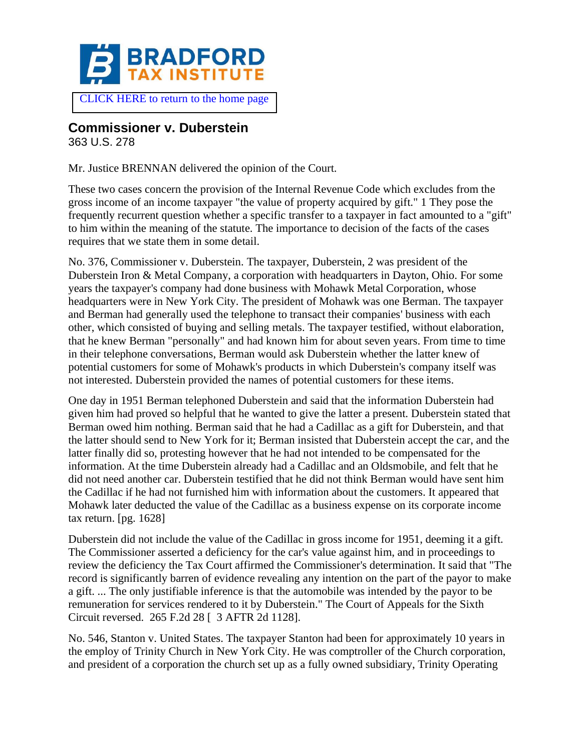

## **Commissioner v. Duberstein**

363 U.S. 278

Mr. Justice BRENNAN delivered the opinion of the Court.

These two cases concern the provision of the Internal Revenue Code which excludes from the gross income of an income taxpayer "the value of property acquired by gift." 1 They pose the frequently recurrent question whether a specific transfer to a taxpayer in fact amounted to a "gift" to him within the meaning of the statute. The importance to decision of the facts of the cases requires that we state them in some detail.

No. 376, Commissioner v. Duberstein. The taxpayer, Duberstein, 2 was president of the Duberstein Iron & Metal Company, a corporation with headquarters in Dayton, Ohio. For some years the taxpayer's company had done business with Mohawk Metal Corporation, whose headquarters were in New York City. The president of Mohawk was one Berman. The taxpayer and Berman had generally used the telephone to transact their companies' business with each other, which consisted of buying and selling metals. The taxpayer testified, without elaboration, that he knew Berman "personally" and had known him for about seven years. From time to time in their telephone conversations, Berman would ask Duberstein whether the latter knew of potential customers for some of Mohawk's products in which Duberstein's company itself was not interested. Duberstein provided the names of potential customers for these items.

One day in 1951 Berman telephoned Duberstein and said that the information Duberstein had given him had proved so helpful that he wanted to give the latter a present. Duberstein stated that Berman owed him nothing. Berman said that he had a Cadillac as a gift for Duberstein, and that the latter should send to New York for it; Berman insisted that Duberstein accept the car, and the latter finally did so, protesting however that he had not intended to be compensated for the information. At the time Duberstein already had a Cadillac and an Oldsmobile, and felt that he did not need another car. Duberstein testified that he did not think Berman would have sent him the Cadillac if he had not furnished him with information about the customers. It appeared that Mohawk later deducted the value of the Cadillac as a business expense on its corporate income tax return. [pg. 1628]

Duberstein did not include the value of the Cadillac in gross income for 1951, deeming it a gift. The Commissioner asserted a deficiency for the car's value against him, and in proceedings to review the deficiency the Tax Court affirmed the Commissioner's determination. It said that "The record is significantly barren of evidence revealing any intention on the part of the payor to make a gift. ... The only justifiable inference is that the automobile was intended by the payor to be remuneration for services rendered to it by Duberstein." The Court of Appeals for the Sixth Circuit reversed. 265 F.2d 28 [ 3 AFTR 2d 1128].

No. 546, Stanton v. United States. The taxpayer Stanton had been for approximately 10 years in the employ of Trinity Church in New York City. He was comptroller of the Church corporation, and president of a corporation the church set up as a fully owned subsidiary, Trinity Operating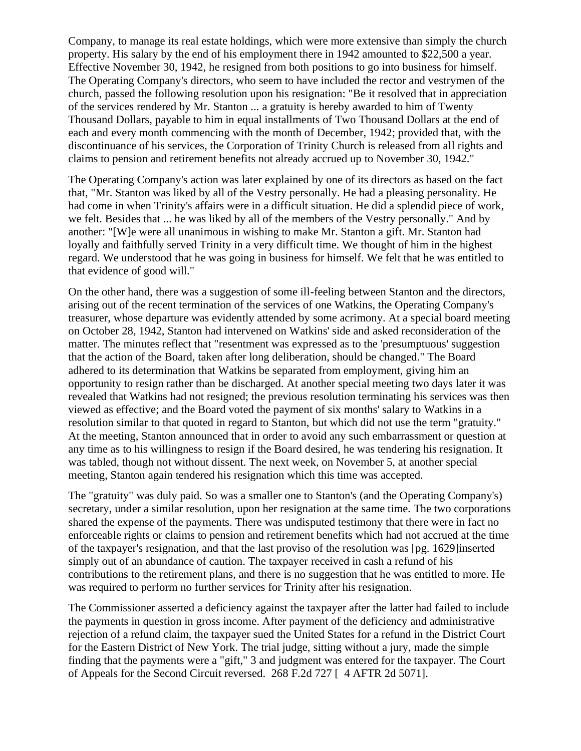Company, to manage its real estate holdings, which were more extensive than simply the church property. His salary by the end of his employment there in 1942 amounted to \$22,500 a year. Effective November 30, 1942, he resigned from both positions to go into business for himself. The Operating Company's directors, who seem to have included the rector and vestrymen of the church, passed the following resolution upon his resignation: "Be it resolved that in appreciation of the services rendered by Mr. Stanton ... a gratuity is hereby awarded to him of Twenty Thousand Dollars, payable to him in equal installments of Two Thousand Dollars at the end of each and every month commencing with the month of December, 1942; provided that, with the discontinuance of his services, the Corporation of Trinity Church is released from all rights and claims to pension and retirement benefits not already accrued up to November 30, 1942."

The Operating Company's action was later explained by one of its directors as based on the fact that, "Mr. Stanton was liked by all of the Vestry personally. He had a pleasing personality. He had come in when Trinity's affairs were in a difficult situation. He did a splendid piece of work, we felt. Besides that ... he was liked by all of the members of the Vestry personally." And by another: "[W]e were all unanimous in wishing to make Mr. Stanton a gift. Mr. Stanton had loyally and faithfully served Trinity in a very difficult time. We thought of him in the highest regard. We understood that he was going in business for himself. We felt that he was entitled to that evidence of good will."

On the other hand, there was a suggestion of some ill-feeling between Stanton and the directors, arising out of the recent termination of the services of one Watkins, the Operating Company's treasurer, whose departure was evidently attended by some acrimony. At a special board meeting on October 28, 1942, Stanton had intervened on Watkins' side and asked reconsideration of the matter. The minutes reflect that "resentment was expressed as to the 'presumptuous' suggestion that the action of the Board, taken after long deliberation, should be changed." The Board adhered to its determination that Watkins be separated from employment, giving him an opportunity to resign rather than be discharged. At another special meeting two days later it was revealed that Watkins had not resigned; the previous resolution terminating his services was then viewed as effective; and the Board voted the payment of six months' salary to Watkins in a resolution similar to that quoted in regard to Stanton, but which did not use the term "gratuity." At the meeting, Stanton announced that in order to avoid any such embarrassment or question at any time as to his willingness to resign if the Board desired, he was tendering his resignation. It was tabled, though not without dissent. The next week, on November 5, at another special meeting, Stanton again tendered his resignation which this time was accepted.

The "gratuity" was duly paid. So was a smaller one to Stanton's (and the Operating Company's) secretary, under a similar resolution, upon her resignation at the same time. The two corporations shared the expense of the payments. There was undisputed testimony that there were in fact no enforceable rights or claims to pension and retirement benefits which had not accrued at the time of the taxpayer's resignation, and that the last proviso of the resolution was [pg. 1629]inserted simply out of an abundance of caution. The taxpayer received in cash a refund of his contributions to the retirement plans, and there is no suggestion that he was entitled to more. He was required to perform no further services for Trinity after his resignation.

The Commissioner asserted a deficiency against the taxpayer after the latter had failed to include the payments in question in gross income. After payment of the deficiency and administrative rejection of a refund claim, the taxpayer sued the United States for a refund in the District Court for the Eastern District of New York. The trial judge, sitting without a jury, made the simple finding that the payments were a "gift," 3 and judgment was entered for the taxpayer. The Court of Appeals for the Second Circuit reversed. 268 F.2d 727 [ 4 AFTR 2d 5071].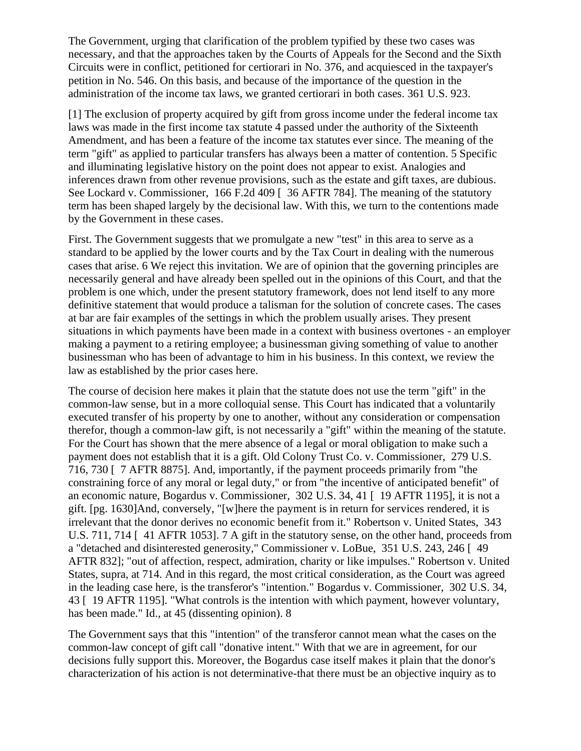The Government, urging that clarification of the problem typified by these two cases was necessary, and that the approaches taken by the Courts of Appeals for the Second and the Sixth Circuits were in conflict, petitioned for certiorari in No. 376, and acquiesced in the taxpayer's petition in No. 546. On this basis, and because of the importance of the question in the administration of the income tax laws, we granted certiorari in both cases. 361 U.S. 923.

[1] The exclusion of property acquired by gift from gross income under the federal income tax laws was made in the first income tax statute 4 passed under the authority of the Sixteenth Amendment, and has been a feature of the income tax statutes ever since. The meaning of the term "gift" as applied to particular transfers has always been a matter of contention. 5 Specific and illuminating legislative history on the point does not appear to exist. Analogies and inferences drawn from other revenue provisions, such as the estate and gift taxes, are dubious. See Lockard v. Commissioner, 166 F.2d 409 [ 36 AFTR 784]. The meaning of the statutory term has been shaped largely by the decisional law. With this, we turn to the contentions made by the Government in these cases.

First. The Government suggests that we promulgate a new "test" in this area to serve as a standard to be applied by the lower courts and by the Tax Court in dealing with the numerous cases that arise. 6 We reject this invitation. We are of opinion that the governing principles are necessarily general and have already been spelled out in the opinions of this Court, and that the problem is one which, under the present statutory framework, does not lend itself to any more definitive statement that would produce a talisman for the solution of concrete cases. The cases at bar are fair examples of the settings in which the problem usually arises. They present situations in which payments have been made in a context with business overtones - an employer making a payment to a retiring employee; a businessman giving something of value to another businessman who has been of advantage to him in his business. In this context, we review the law as established by the prior cases here.

The course of decision here makes it plain that the statute does not use the term "gift" in the common-law sense, but in a more colloquial sense. This Court has indicated that a voluntarily executed transfer of his property by one to another, without any consideration or compensation therefor, though a common-law gift, is not necessarily a "gift" within the meaning of the statute. For the Court has shown that the mere absence of a legal or moral obligation to make such a payment does not establish that it is a gift. Old Colony Trust Co. v. Commissioner, 279 U.S. 716, 730 [ 7 AFTR 8875]. And, importantly, if the payment proceeds primarily from "the constraining force of any moral or legal duty," or from "the incentive of anticipated benefit" of an economic nature, Bogardus v. Commissioner, 302 U.S. 34, 41 [ 19 AFTR 1195], it is not a gift. [pg. 1630]And, conversely, "[w]here the payment is in return for services rendered, it is irrelevant that the donor derives no economic benefit from it." Robertson v. United States, 343 U.S. 711, 714 [ 41 AFTR 1053]. 7 A gift in the statutory sense, on the other hand, proceeds from a "detached and disinterested generosity," Commissioner v. LoBue, 351 U.S. 243, 246 [ 49 AFTR 832]; "out of affection, respect, admiration, charity or like impulses." Robertson v. United States, supra, at 714. And in this regard, the most critical consideration, as the Court was agreed in the leading case here, is the transferor's "intention." Bogardus v. Commissioner, 302 U.S. 34, 43 [ 19 AFTR 1195]. "What controls is the intention with which payment, however voluntary, has been made." Id., at 45 (dissenting opinion). 8

The Government says that this "intention" of the transferor cannot mean what the cases on the common-law concept of gift call "donative intent." With that we are in agreement, for our decisions fully support this. Moreover, the Bogardus case itself makes it plain that the donor's characterization of his action is not determinative-that there must be an objective inquiry as to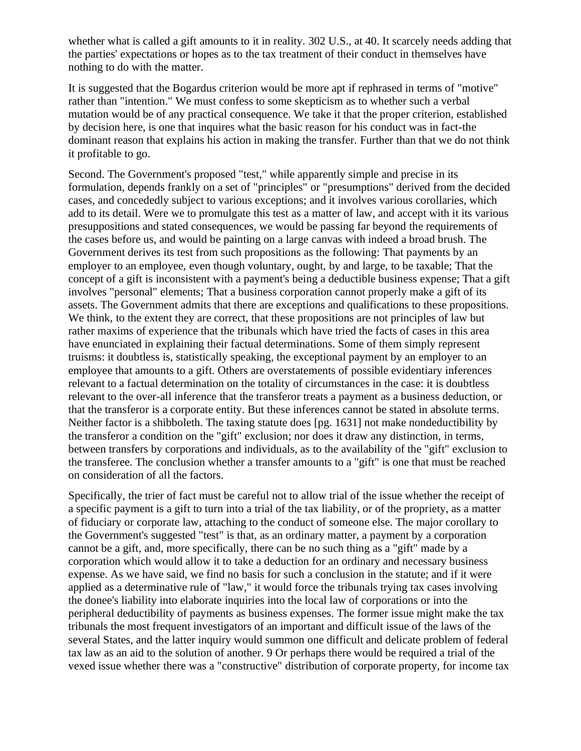whether what is called a gift amounts to it in reality. 302 U.S., at 40. It scarcely needs adding that the parties' expectations or hopes as to the tax treatment of their conduct in themselves have nothing to do with the matter.

It is suggested that the Bogardus criterion would be more apt if rephrased in terms of "motive" rather than "intention." We must confess to some skepticism as to whether such a verbal mutation would be of any practical consequence. We take it that the proper criterion, established by decision here, is one that inquires what the basic reason for his conduct was in fact-the dominant reason that explains his action in making the transfer. Further than that we do not think it profitable to go.

Second. The Government's proposed "test," while apparently simple and precise in its formulation, depends frankly on a set of "principles" or "presumptions" derived from the decided cases, and concededly subject to various exceptions; and it involves various corollaries, which add to its detail. Were we to promulgate this test as a matter of law, and accept with it its various presuppositions and stated consequences, we would be passing far beyond the requirements of the cases before us, and would be painting on a large canvas with indeed a broad brush. The Government derives its test from such propositions as the following: That payments by an employer to an employee, even though voluntary, ought, by and large, to be taxable; That the concept of a gift is inconsistent with a payment's being a deductible business expense; That a gift involves "personal" elements; That a business corporation cannot properly make a gift of its assets. The Government admits that there are exceptions and qualifications to these propositions. We think, to the extent they are correct, that these propositions are not principles of law but rather maxims of experience that the tribunals which have tried the facts of cases in this area have enunciated in explaining their factual determinations. Some of them simply represent truisms: it doubtless is, statistically speaking, the exceptional payment by an employer to an employee that amounts to a gift. Others are overstatements of possible evidentiary inferences relevant to a factual determination on the totality of circumstances in the case: it is doubtless relevant to the over-all inference that the transferor treats a payment as a business deduction, or that the transferor is a corporate entity. But these inferences cannot be stated in absolute terms. Neither factor is a shibboleth. The taxing statute does [pg. 1631] not make nondeductibility by the transferor a condition on the "gift" exclusion; nor does it draw any distinction, in terms, between transfers by corporations and individuals, as to the availability of the "gift" exclusion to the transferee. The conclusion whether a transfer amounts to a "gift" is one that must be reached on consideration of all the factors.

Specifically, the trier of fact must be careful not to allow trial of the issue whether the receipt of a specific payment is a gift to turn into a trial of the tax liability, or of the propriety, as a matter of fiduciary or corporate law, attaching to the conduct of someone else. The major corollary to the Government's suggested "test" is that, as an ordinary matter, a payment by a corporation cannot be a gift, and, more specifically, there can be no such thing as a "gift" made by a corporation which would allow it to take a deduction for an ordinary and necessary business expense. As we have said, we find no basis for such a conclusion in the statute; and if it were applied as a determinative rule of "law," it would force the tribunals trying tax cases involving the donee's liability into elaborate inquiries into the local law of corporations or into the peripheral deductibility of payments as business expenses. The former issue might make the tax tribunals the most frequent investigators of an important and difficult issue of the laws of the several States, and the latter inquiry would summon one difficult and delicate problem of federal tax law as an aid to the solution of another. 9 Or perhaps there would be required a trial of the vexed issue whether there was a "constructive" distribution of corporate property, for income tax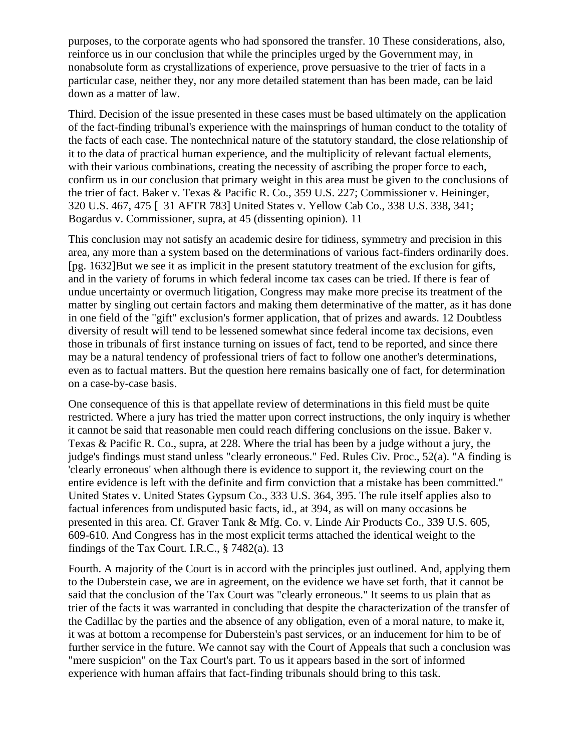purposes, to the corporate agents who had sponsored the transfer. 10 These considerations, also, reinforce us in our conclusion that while the principles urged by the Government may, in nonabsolute form as crystallizations of experience, prove persuasive to the trier of facts in a particular case, neither they, nor any more detailed statement than has been made, can be laid down as a matter of law.

Third. Decision of the issue presented in these cases must be based ultimately on the application of the fact-finding tribunal's experience with the mainsprings of human conduct to the totality of the facts of each case. The nontechnical nature of the statutory standard, the close relationship of it to the data of practical human experience, and the multiplicity of relevant factual elements, with their various combinations, creating the necessity of ascribing the proper force to each, confirm us in our conclusion that primary weight in this area must be given to the conclusions of the trier of fact. Baker v. Texas & Pacific R. Co., 359 U.S. 227; Commissioner v. Heininger, 320 U.S. 467, 475 [ 31 AFTR 783] United States v. Yellow Cab Co., 338 U.S. 338, 341; Bogardus v. Commissioner, supra, at 45 (dissenting opinion). 11

This conclusion may not satisfy an academic desire for tidiness, symmetry and precision in this area, any more than a system based on the determinations of various fact-finders ordinarily does. [pg. 1632]But we see it as implicit in the present statutory treatment of the exclusion for gifts, and in the variety of forums in which federal income tax cases can be tried. If there is fear of undue uncertainty or overmuch litigation, Congress may make more precise its treatment of the matter by singling out certain factors and making them determinative of the matter, as it has done in one field of the "gift" exclusion's former application, that of prizes and awards. 12 Doubtless diversity of result will tend to be lessened somewhat since federal income tax decisions, even those in tribunals of first instance turning on issues of fact, tend to be reported, and since there may be a natural tendency of professional triers of fact to follow one another's determinations, even as to factual matters. But the question here remains basically one of fact, for determination on a case-by-case basis.

One consequence of this is that appellate review of determinations in this field must be quite restricted. Where a jury has tried the matter upon correct instructions, the only inquiry is whether it cannot be said that reasonable men could reach differing conclusions on the issue. Baker v. Texas & Pacific R. Co., supra, at 228. Where the trial has been by a judge without a jury, the judge's findings must stand unless "clearly erroneous." Fed. Rules Civ. Proc., 52(a). "A finding is 'clearly erroneous' when although there is evidence to support it, the reviewing court on the entire evidence is left with the definite and firm conviction that a mistake has been committed." United States v. United States Gypsum Co., 333 U.S. 364, 395. The rule itself applies also to factual inferences from undisputed basic facts, id., at 394, as will on many occasions be presented in this area. Cf. Graver Tank & Mfg. Co. v. Linde Air Products Co., 339 U.S. 605, 609-610. And Congress has in the most explicit terms attached the identical weight to the findings of the Tax Court. I.R.C.,  $\S$  7482(a). 13

Fourth. A majority of the Court is in accord with the principles just outlined. And, applying them to the Duberstein case, we are in agreement, on the evidence we have set forth, that it cannot be said that the conclusion of the Tax Court was "clearly erroneous." It seems to us plain that as trier of the facts it was warranted in concluding that despite the characterization of the transfer of the Cadillac by the parties and the absence of any obligation, even of a moral nature, to make it, it was at bottom a recompense for Duberstein's past services, or an inducement for him to be of further service in the future. We cannot say with the Court of Appeals that such a conclusion was "mere suspicion" on the Tax Court's part. To us it appears based in the sort of informed experience with human affairs that fact-finding tribunals should bring to this task.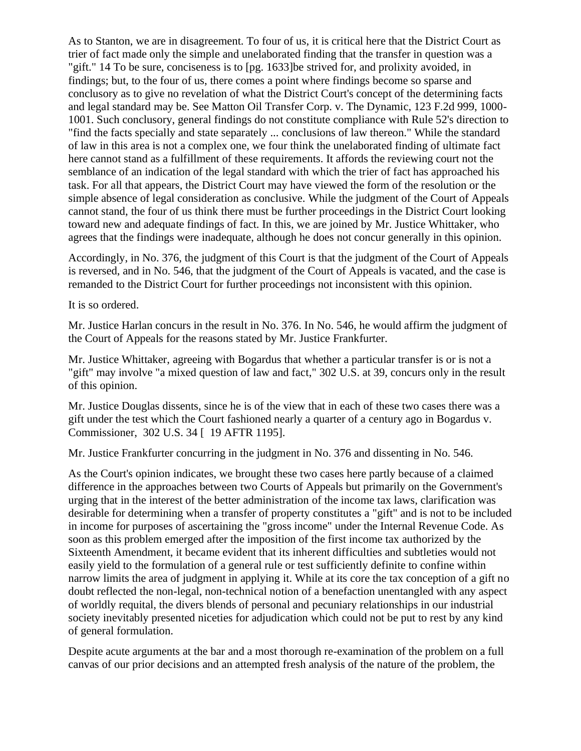As to Stanton, we are in disagreement. To four of us, it is critical here that the District Court as trier of fact made only the simple and unelaborated finding that the transfer in question was a "gift." 14 To be sure, conciseness is to [pg. 1633]be strived for, and prolixity avoided, in findings; but, to the four of us, there comes a point where findings become so sparse and conclusory as to give no revelation of what the District Court's concept of the determining facts and legal standard may be. See Matton Oil Transfer Corp. v. The Dynamic, 123 F.2d 999, 1000- 1001. Such conclusory, general findings do not constitute compliance with Rule 52's direction to "find the facts specially and state separately ... conclusions of law thereon." While the standard of law in this area is not a complex one, we four think the unelaborated finding of ultimate fact here cannot stand as a fulfillment of these requirements. It affords the reviewing court not the semblance of an indication of the legal standard with which the trier of fact has approached his task. For all that appears, the District Court may have viewed the form of the resolution or the simple absence of legal consideration as conclusive. While the judgment of the Court of Appeals cannot stand, the four of us think there must be further proceedings in the District Court looking toward new and adequate findings of fact. In this, we are joined by Mr. Justice Whittaker, who agrees that the findings were inadequate, although he does not concur generally in this opinion.

Accordingly, in No. 376, the judgment of this Court is that the judgment of the Court of Appeals is reversed, and in No. 546, that the judgment of the Court of Appeals is vacated, and the case is remanded to the District Court for further proceedings not inconsistent with this opinion.

It is so ordered.

Mr. Justice Harlan concurs in the result in No. 376. In No. 546, he would affirm the judgment of the Court of Appeals for the reasons stated by Mr. Justice Frankfurter.

Mr. Justice Whittaker, agreeing with Bogardus that whether a particular transfer is or is not a "gift" may involve "a mixed question of law and fact," 302 U.S. at 39, concurs only in the result of this opinion.

Mr. Justice Douglas dissents, since he is of the view that in each of these two cases there was a gift under the test which the Court fashioned nearly a quarter of a century ago in Bogardus v. Commissioner, 302 U.S. 34 [ 19 AFTR 1195].

Mr. Justice Frankfurter concurring in the judgment in No. 376 and dissenting in No. 546.

As the Court's opinion indicates, we brought these two cases here partly because of a claimed difference in the approaches between two Courts of Appeals but primarily on the Government's urging that in the interest of the better administration of the income tax laws, clarification was desirable for determining when a transfer of property constitutes a "gift" and is not to be included in income for purposes of ascertaining the "gross income" under the Internal Revenue Code. As soon as this problem emerged after the imposition of the first income tax authorized by the Sixteenth Amendment, it became evident that its inherent difficulties and subtleties would not easily yield to the formulation of a general rule or test sufficiently definite to confine within narrow limits the area of judgment in applying it. While at its core the tax conception of a gift no doubt reflected the non-legal, non-technical notion of a benefaction unentangled with any aspect of worldly requital, the divers blends of personal and pecuniary relationships in our industrial society inevitably presented niceties for adjudication which could not be put to rest by any kind of general formulation.

Despite acute arguments at the bar and a most thorough re-examination of the problem on a full canvas of our prior decisions and an attempted fresh analysis of the nature of the problem, the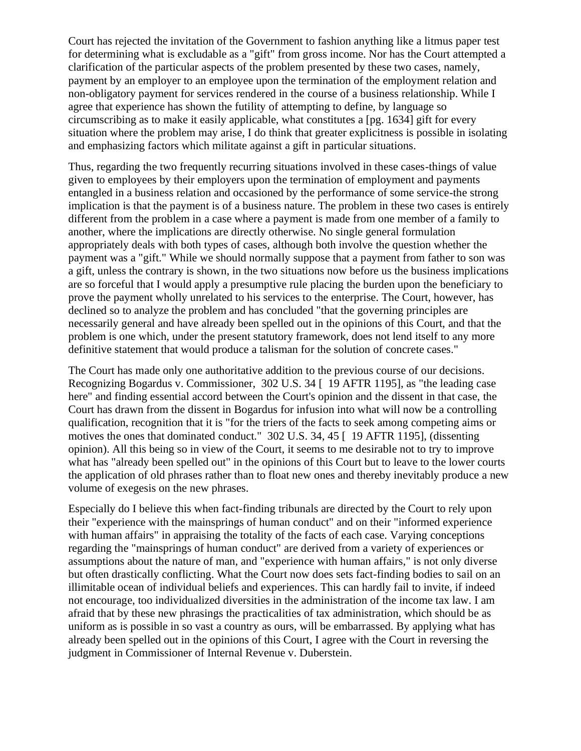Court has rejected the invitation of the Government to fashion anything like a litmus paper test for determining what is excludable as a "gift" from gross income. Nor has the Court attempted a clarification of the particular aspects of the problem presented by these two cases, namely, payment by an employer to an employee upon the termination of the employment relation and non-obligatory payment for services rendered in the course of a business relationship. While I agree that experience has shown the futility of attempting to define, by language so circumscribing as to make it easily applicable, what constitutes a [pg. 1634] gift for every situation where the problem may arise, I do think that greater explicitness is possible in isolating and emphasizing factors which militate against a gift in particular situations.

Thus, regarding the two frequently recurring situations involved in these cases-things of value given to employees by their employers upon the termination of employment and payments entangled in a business relation and occasioned by the performance of some service-the strong implication is that the payment is of a business nature. The problem in these two cases is entirely different from the problem in a case where a payment is made from one member of a family to another, where the implications are directly otherwise. No single general formulation appropriately deals with both types of cases, although both involve the question whether the payment was a "gift." While we should normally suppose that a payment from father to son was a gift, unless the contrary is shown, in the two situations now before us the business implications are so forceful that I would apply a presumptive rule placing the burden upon the beneficiary to prove the payment wholly unrelated to his services to the enterprise. The Court, however, has declined so to analyze the problem and has concluded "that the governing principles are necessarily general and have already been spelled out in the opinions of this Court, and that the problem is one which, under the present statutory framework, does not lend itself to any more definitive statement that would produce a talisman for the solution of concrete cases."

The Court has made only one authoritative addition to the previous course of our decisions. Recognizing Bogardus v. Commissioner, 302 U.S. 34 [ 19 AFTR 1195], as "the leading case here" and finding essential accord between the Court's opinion and the dissent in that case, the Court has drawn from the dissent in Bogardus for infusion into what will now be a controlling qualification, recognition that it is "for the triers of the facts to seek among competing aims or motives the ones that dominated conduct." 302 U.S. 34, 45 [ 19 AFTR 1195], (dissenting opinion). All this being so in view of the Court, it seems to me desirable not to try to improve what has "already been spelled out" in the opinions of this Court but to leave to the lower courts the application of old phrases rather than to float new ones and thereby inevitably produce a new volume of exegesis on the new phrases.

Especially do I believe this when fact-finding tribunals are directed by the Court to rely upon their "experience with the mainsprings of human conduct" and on their "informed experience with human affairs" in appraising the totality of the facts of each case. Varying conceptions regarding the "mainsprings of human conduct" are derived from a variety of experiences or assumptions about the nature of man, and "experience with human affairs," is not only diverse but often drastically conflicting. What the Court now does sets fact-finding bodies to sail on an illimitable ocean of individual beliefs and experiences. This can hardly fail to invite, if indeed not encourage, too individualized diversities in the administration of the income tax law. I am afraid that by these new phrasings the practicalities of tax administration, which should be as uniform as is possible in so vast a country as ours, will be embarrassed. By applying what has already been spelled out in the opinions of this Court, I agree with the Court in reversing the judgment in Commissioner of Internal Revenue v. Duberstein.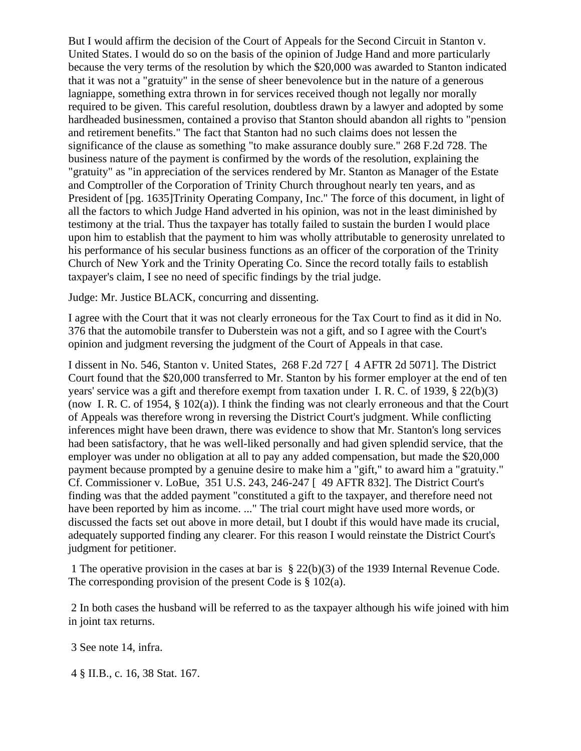But I would affirm the decision of the Court of Appeals for the Second Circuit in Stanton v. United States. I would do so on the basis of the opinion of Judge Hand and more particularly because the very terms of the resolution by which the \$20,000 was awarded to Stanton indicated that it was not a "gratuity" in the sense of sheer benevolence but in the nature of a generous lagniappe, something extra thrown in for services received though not legally nor morally required to be given. This careful resolution, doubtless drawn by a lawyer and adopted by some hardheaded businessmen, contained a proviso that Stanton should abandon all rights to "pension and retirement benefits." The fact that Stanton had no such claims does not lessen the significance of the clause as something "to make assurance doubly sure." 268 F.2d 728. The business nature of the payment is confirmed by the words of the resolution, explaining the "gratuity" as "in appreciation of the services rendered by Mr. Stanton as Manager of the Estate and Comptroller of the Corporation of Trinity Church throughout nearly ten years, and as President of [pg. 1635]Trinity Operating Company, Inc." The force of this document, in light of all the factors to which Judge Hand adverted in his opinion, was not in the least diminished by testimony at the trial. Thus the taxpayer has totally failed to sustain the burden I would place upon him to establish that the payment to him was wholly attributable to generosity unrelated to his performance of his secular business functions as an officer of the corporation of the Trinity Church of New York and the Trinity Operating Co. Since the record totally fails to establish taxpayer's claim, I see no need of specific findings by the trial judge.

Judge: Mr. Justice BLACK, concurring and dissenting.

I agree with the Court that it was not clearly erroneous for the Tax Court to find as it did in No. 376 that the automobile transfer to Duberstein was not a gift, and so I agree with the Court's opinion and judgment reversing the judgment of the Court of Appeals in that case.

I dissent in No. 546, Stanton v. United States, 268 F.2d 727 [ 4 AFTR 2d 5071]. The District Court found that the \$20,000 transferred to Mr. Stanton by his former employer at the end of ten years' service was a gift and therefore exempt from taxation under I. R. C. of 1939, § 22(b)(3) (now I. R. C. of 1954, § 102(a)). I think the finding was not clearly erroneous and that the Court of Appeals was therefore wrong in reversing the District Court's judgment. While conflicting inferences might have been drawn, there was evidence to show that Mr. Stanton's long services had been satisfactory, that he was well-liked personally and had given splendid service, that the employer was under no obligation at all to pay any added compensation, but made the \$20,000 payment because prompted by a genuine desire to make him a "gift," to award him a "gratuity." Cf. Commissioner v. LoBue, 351 U.S. 243, 246-247 [ 49 AFTR 832]. The District Court's finding was that the added payment "constituted a gift to the taxpayer, and therefore need not have been reported by him as income. ..." The trial court might have used more words, or discussed the facts set out above in more detail, but I doubt if this would have made its crucial, adequately supported finding any clearer. For this reason I would reinstate the District Court's judgment for petitioner.

1 The operative provision in the cases at bar is § 22(b)(3) of the 1939 Internal Revenue Code. The corresponding provision of the present Code is § 102(a).

2 In both cases the husband will be referred to as the taxpayer although his wife joined with him in joint tax returns.

3 See note 14, infra.

4 § II.B., c. 16, 38 Stat. 167.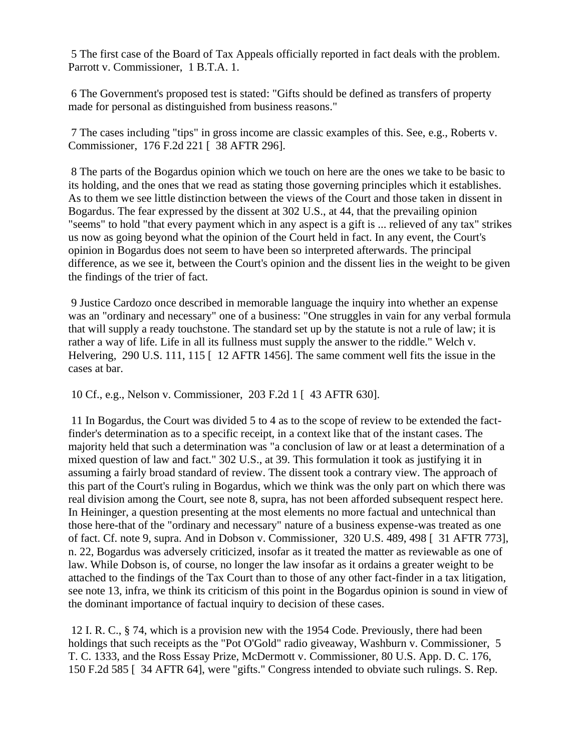5 The first case of the Board of Tax Appeals officially reported in fact deals with the problem. Parrott v. Commissioner, 1 B.T.A. 1.

6 The Government's proposed test is stated: "Gifts should be defined as transfers of property made for personal as distinguished from business reasons."

7 The cases including "tips" in gross income are classic examples of this. See, e.g., Roberts v. Commissioner, 176 F.2d 221 [ 38 AFTR 296].

8 The parts of the Bogardus opinion which we touch on here are the ones we take to be basic to its holding, and the ones that we read as stating those governing principles which it establishes. As to them we see little distinction between the views of the Court and those taken in dissent in Bogardus. The fear expressed by the dissent at 302 U.S., at 44, that the prevailing opinion "seems" to hold "that every payment which in any aspect is a gift is ... relieved of any tax" strikes us now as going beyond what the opinion of the Court held in fact. In any event, the Court's opinion in Bogardus does not seem to have been so interpreted afterwards. The principal difference, as we see it, between the Court's opinion and the dissent lies in the weight to be given the findings of the trier of fact.

9 Justice Cardozo once described in memorable language the inquiry into whether an expense was an "ordinary and necessary" one of a business: "One struggles in vain for any verbal formula that will supply a ready touchstone. The standard set up by the statute is not a rule of law; it is rather a way of life. Life in all its fullness must supply the answer to the riddle." Welch v. Helvering, 290 U.S. 111, 115 [ 12 AFTR 1456]. The same comment well fits the issue in the cases at bar.

10 Cf., e.g., Nelson v. Commissioner, 203 F.2d 1 [ 43 AFTR 630].

11 In Bogardus, the Court was divided 5 to 4 as to the scope of review to be extended the factfinder's determination as to a specific receipt, in a context like that of the instant cases. The majority held that such a determination was "a conclusion of law or at least a determination of a mixed question of law and fact." 302 U.S., at 39. This formulation it took as justifying it in assuming a fairly broad standard of review. The dissent took a contrary view. The approach of this part of the Court's ruling in Bogardus, which we think was the only part on which there was real division among the Court, see note 8, supra, has not been afforded subsequent respect here. In Heininger, a question presenting at the most elements no more factual and untechnical than those here-that of the "ordinary and necessary" nature of a business expense-was treated as one of fact. Cf. note 9, supra. And in Dobson v. Commissioner, 320 U.S. 489, 498 [ 31 AFTR 773], n. 22, Bogardus was adversely criticized, insofar as it treated the matter as reviewable as one of law. While Dobson is, of course, no longer the law insofar as it ordains a greater weight to be attached to the findings of the Tax Court than to those of any other fact-finder in a tax litigation, see note 13, infra, we think its criticism of this point in the Bogardus opinion is sound in view of the dominant importance of factual inquiry to decision of these cases.

12 I. R. C., § 74, which is a provision new with the 1954 Code. Previously, there had been holdings that such receipts as the "Pot O'Gold" radio giveaway, Washburn v. Commissioner, 5 T. C. 1333, and the Ross Essay Prize, McDermott v. Commissioner, 80 U.S. App. D. C. 176, 150 F.2d 585 [ 34 AFTR 64], were "gifts." Congress intended to obviate such rulings. S. Rep.